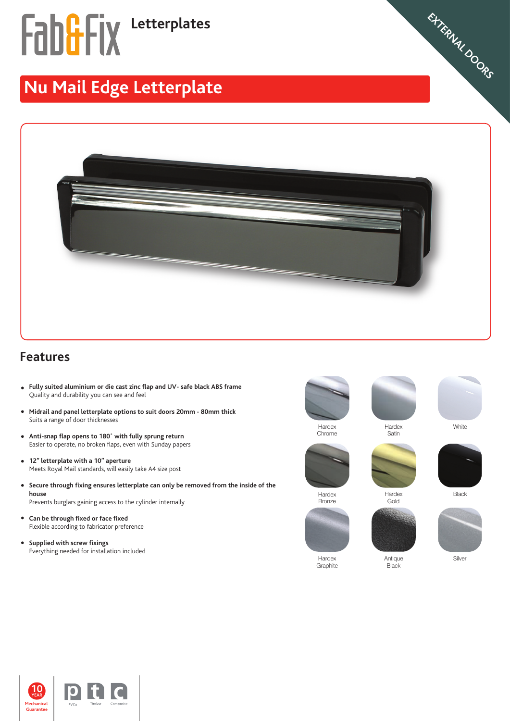# **Fab&Fix** Letterplates

### **Nu Mail Edge Letterplate**



#### **Features**

- **Fully suited aluminium or die cast zinc flap and UV- safe black ABS frame** Quality and durability you can see and feel
- **Midrail and panel letterplate options to suit doors 20mm 80mm thick**  Suits a range of door thicknesses
- **Anti-snap flap opens to 180˚ with fully sprung return** Easier to operate, no broken flaps, even with Sunday papers
- **12" letterplate with a 10" aperture**   $\bullet$ Meets Royal Mail standards, will easily take A4 size post
- **Secure through fixing ensures letterplate can only be removed from the inside of the house** Prevents burglars gaining access to the cylinder internally
- **Can be through fixed or face fixed** Flexible according to fabricator preference
- **Supplied with screw fixings**  Everything needed for installation included







**WEATHERSEALS STEEL SLIDING DOORS CROMPTON VIRTICAL TILT & TURN WINDOWS CASEMENT WINDOWS SHED,GARAGES,** EXTERNAL DOORS





Gold

Black

Hardex **Bronze** 

Graphite

Hardex Antique Silver